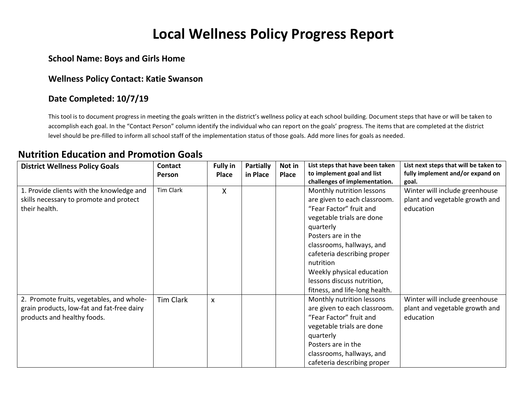# **Local Wellness Policy Progress Report**

#### **School Name: Boys and Girls Home**

#### **Wellness Policy Contact: Katie Swanson**

#### **Date Completed: 10/7/19**

This tool is to document progress in meeting the goals written in the district's wellness policy at each school building. Document steps that have or will be taken to accomplish each goal. In the "Contact Person" column identify the individual who can report on the goals' progress. The items that are completed at the district level should be pre-filled to inform all school staff of the implementation status of those goals. Add more lines for goals as needed.

#### **Nutrition Education and Promotion Goals**

| <b>District Wellness Policy Goals</b>      | Contact   | <b>Fully in</b> | <b>Partially</b> | Not in | List steps that have been taken | List next steps that will be taken to |
|--------------------------------------------|-----------|-----------------|------------------|--------|---------------------------------|---------------------------------------|
|                                            | Person    | <b>Place</b>    | in Place         | Place  | to implement goal and list      | fully implement and/or expand on      |
|                                            |           |                 |                  |        | challenges of implementation.   | goal.                                 |
| 1. Provide clients with the knowledge and  | Tim Clark | X               |                  |        | Monthly nutrition lessons       | Winter will include greenhouse        |
| skills necessary to promote and protect    |           |                 |                  |        | are given to each classroom.    | plant and vegetable growth and        |
| their health.                              |           |                 |                  |        | "Fear Factor" fruit and         | education                             |
|                                            |           |                 |                  |        | vegetable trials are done       |                                       |
|                                            |           |                 |                  |        | quarterly                       |                                       |
|                                            |           |                 |                  |        | Posters are in the              |                                       |
|                                            |           |                 |                  |        | classrooms, hallways, and       |                                       |
|                                            |           |                 |                  |        | cafeteria describing proper     |                                       |
|                                            |           |                 |                  |        | nutrition                       |                                       |
|                                            |           |                 |                  |        | Weekly physical education       |                                       |
|                                            |           |                 |                  |        | lessons discuss nutrition,      |                                       |
|                                            |           |                 |                  |        | fitness, and life-long health.  |                                       |
| 2. Promote fruits, vegetables, and whole-  | Tim Clark | X               |                  |        | Monthly nutrition lessons       | Winter will include greenhouse        |
| grain products, low-fat and fat-free dairy |           |                 |                  |        | are given to each classroom.    | plant and vegetable growth and        |
| products and healthy foods.                |           |                 |                  |        | "Fear Factor" fruit and         | education                             |
|                                            |           |                 |                  |        | vegetable trials are done       |                                       |
|                                            |           |                 |                  |        | quarterly                       |                                       |
|                                            |           |                 |                  |        | Posters are in the              |                                       |
|                                            |           |                 |                  |        | classrooms, hallways, and       |                                       |
|                                            |           |                 |                  |        | cafeteria describing proper     |                                       |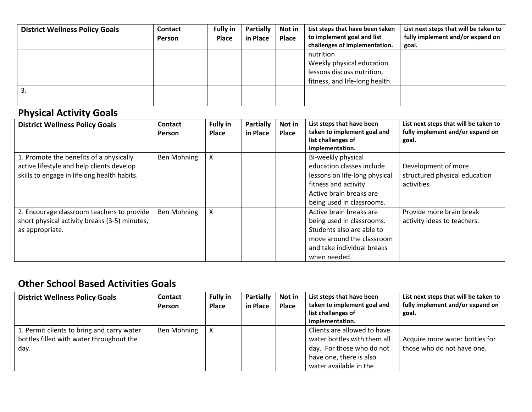| <b>District Wellness Policy Goals</b> | <b>Contact</b><br>Person | <b>Fully in</b><br>Place | <b>Partially</b><br>in Place | Not in<br>Place | List steps that have been taken<br>to implement goal and list<br>challenges of implementation.         | List next steps that will be taken to<br>fully implement and/or expand on<br>goal. |
|---------------------------------------|--------------------------|--------------------------|------------------------------|-----------------|--------------------------------------------------------------------------------------------------------|------------------------------------------------------------------------------------|
|                                       |                          |                          |                              |                 | nutrition<br>Weekly physical education<br>lessons discuss nutrition,<br>fitness, and life-long health. |                                                                                    |
| 3.                                    |                          |                          |                              |                 |                                                                                                        |                                                                                    |

### **Physical Activity Goals**

| <b>District Wellness Policy Goals</b>                                                                                               | <b>Contact</b><br><b>Person</b> | <b>Fully in</b><br>Place | Partially<br>in Place | Not in<br><b>Place</b> | List steps that have been<br>taken to implement goal and<br>list challenges of<br>implementation.                                                                | List next steps that will be taken to<br>fully implement and/or expand on<br>goal. |
|-------------------------------------------------------------------------------------------------------------------------------------|---------------------------------|--------------------------|-----------------------|------------------------|------------------------------------------------------------------------------------------------------------------------------------------------------------------|------------------------------------------------------------------------------------|
| 1. Promote the benefits of a physically<br>active lifestyle and help clients develop<br>skills to engage in lifelong health habits. | Ben Mohning                     | x                        |                       |                        | Bi-weekly physical<br>education classes include<br>lessons on life-long physical<br>fitness and activity<br>Active brain breaks are<br>being used in classrooms. | Development of more<br>structured physical education<br>activities                 |
| 2. Encourage classroom teachers to provide<br>short physical activity breaks (3-5) minutes,<br>as appropriate.                      | Ben Mohning                     | x                        |                       |                        | Active brain breaks are<br>being used in classrooms.<br>Students also are able to<br>move around the classroom<br>and take individual breaks<br>when needed.     | Provide more brain break<br>activity ideas to teachers.                            |

### **Other School Based Activities Goals**

| <b>District Wellness Policy Goals</b>      | Contact     | <b>Fully in</b> | <b>Partially</b> | Not in | List steps that have been<br>taken to implement goal and | List next steps that will be taken to<br>fully implement and/or expand on |
|--------------------------------------------|-------------|-----------------|------------------|--------|----------------------------------------------------------|---------------------------------------------------------------------------|
|                                            | Person      | Place           | in Place         | Place  | list challenges of                                       | goal.                                                                     |
|                                            |             |                 |                  |        | implementation.                                          |                                                                           |
| 1. Permit clients to bring and carry water | Ben Mohning |                 |                  |        | Clients are allowed to have                              |                                                                           |
| bottles filled with water throughout the   |             |                 |                  |        | water bottles with them all                              | Acquire more water bottles for                                            |
| day.                                       |             |                 |                  |        | day. For those who do not                                | those who do not have one.                                                |
|                                            |             |                 |                  |        | have one, there is also                                  |                                                                           |
|                                            |             |                 |                  |        | water available in the                                   |                                                                           |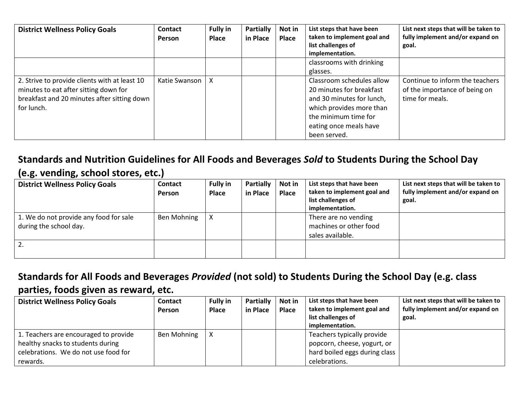| <b>District Wellness Policy Goals</b>                                                                                                               | <b>Contact</b><br><b>Person</b> | <b>Fully in</b><br><b>Place</b> | <b>Partially</b><br>in Place | Not in<br>Place | List steps that have been<br>taken to implement goal and<br>list challenges of<br>implementation.                                                                                | List next steps that will be taken to<br>fully implement and/or expand on<br>goal.  |
|-----------------------------------------------------------------------------------------------------------------------------------------------------|---------------------------------|---------------------------------|------------------------------|-----------------|----------------------------------------------------------------------------------------------------------------------------------------------------------------------------------|-------------------------------------------------------------------------------------|
|                                                                                                                                                     |                                 |                                 |                              |                 | classrooms with drinking                                                                                                                                                         |                                                                                     |
|                                                                                                                                                     |                                 |                                 |                              |                 | glasses.                                                                                                                                                                         |                                                                                     |
| 2. Strive to provide clients with at least 10<br>minutes to eat after sitting down for<br>breakfast and 20 minutes after sitting down<br>for lunch. | Katie Swanson                   |                                 |                              |                 | Classroom schedules allow<br>20 minutes for breakfast<br>and 30 minutes for lunch,<br>which provides more than<br>the minimum time for<br>eating once meals have<br>been served. | Continue to inform the teachers<br>of the importance of being on<br>time for meals. |

## **Standards and Nutrition Guidelines for All Foods and Beverages** *Sold* **to Students During the School Day**

**(e.g. vending, school stores, etc.)**

| <b>District Wellness Policy Goals</b>                            | <b>Contact</b><br><b>Person</b> | <b>Fully in</b><br><b>Place</b> | <b>Partially</b><br>in Place | Not in<br>Place | List steps that have been<br>taken to implement goal and<br>list challenges of<br>implementation. | List next steps that will be taken to<br>fully implement and/or expand on<br>goal. |
|------------------------------------------------------------------|---------------------------------|---------------------------------|------------------------------|-----------------|---------------------------------------------------------------------------------------------------|------------------------------------------------------------------------------------|
| 1. We do not provide any food for sale<br>during the school day. | Ben Mohning                     |                                 |                              |                 | There are no vending<br>machines or other food<br>sales available.                                |                                                                                    |
| 2.                                                               |                                 |                                 |                              |                 |                                                                                                   |                                                                                    |

### **Standards for All Foods and Beverages** *Provided* **(not sold) to Students During the School Day (e.g. class parties, foods given as reward, etc.**

| <b>District Wellness Policy Goals</b>                                                                                          | <b>Contact</b><br>Person | <b>Fully in</b><br><b>Place</b> | <b>Partially</b><br>in Place | Not in<br>Place | List steps that have been<br>taken to implement goal and<br>list challenges of<br>implementation.           | List next steps that will be taken to<br>fully implement and/or expand on<br>goal. |
|--------------------------------------------------------------------------------------------------------------------------------|--------------------------|---------------------------------|------------------------------|-----------------|-------------------------------------------------------------------------------------------------------------|------------------------------------------------------------------------------------|
| 1. Teachers are encouraged to provide<br>healthy snacks to students during<br>celebrations. We do not use food for<br>rewards. | Ben Mohning              |                                 |                              |                 | Teachers typically provide<br>popcorn, cheese, yogurt, or<br>hard boiled eggs during class<br>celebrations. |                                                                                    |